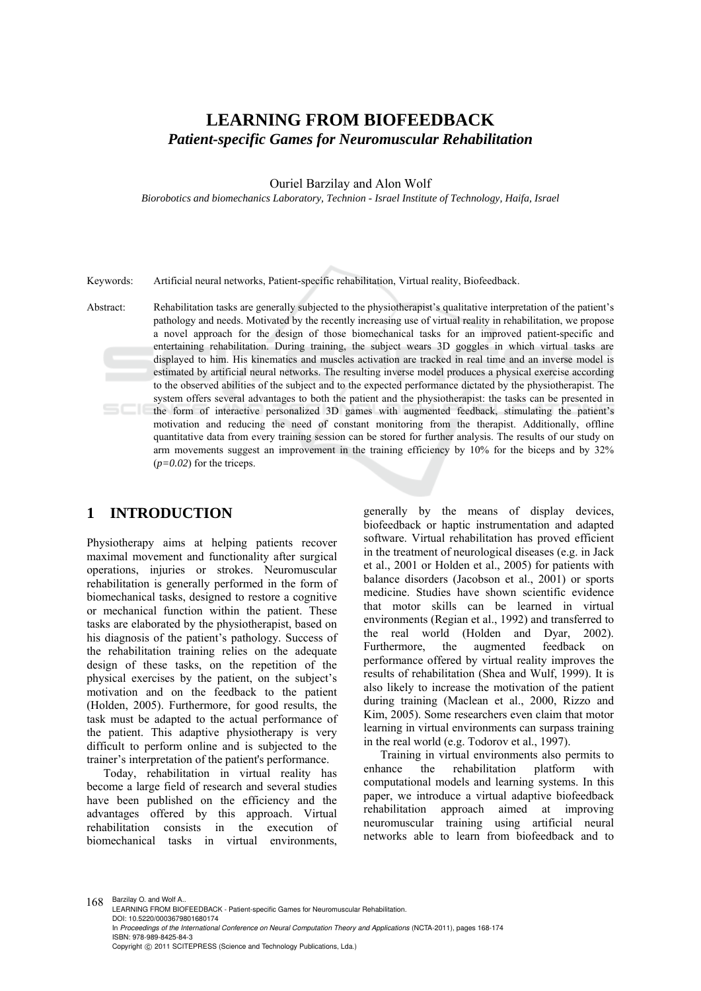# **LEARNING FROM BIOFEEDBACK**  *Patient-specific Games for Neuromuscular Rehabilitation*

Ouriel Barzilay and Alon Wolf

*Biorobotics and biomechanics Laboratory, Technion - Israel Institute of Technology, Haifa, Israel* 

Keywords: Artificial neural networks, Patient-specific rehabilitation, Virtual reality, Biofeedback.

Abstract: Rehabilitation tasks are generally subjected to the physiotherapist's qualitative interpretation of the patient's pathology and needs. Motivated by the recently increasing use of virtual reality in rehabilitation, we propose a novel approach for the design of those biomechanical tasks for an improved patient-specific and entertaining rehabilitation. During training, the subject wears 3D goggles in which virtual tasks are displayed to him. His kinematics and muscles activation are tracked in real time and an inverse model is estimated by artificial neural networks. The resulting inverse model produces a physical exercise according to the observed abilities of the subject and to the expected performance dictated by the physiotherapist. The system offers several advantages to both the patient and the physiotherapist: the tasks can be presented in the form of interactive personalized 3D games with augmented feedback, stimulating the patient's motivation and reducing the need of constant monitoring from the therapist. Additionally, offline quantitative data from every training session can be stored for further analysis. The results of our study on arm movements suggest an improvement in the training efficiency by 10% for the biceps and by 32% (*p=0.02*) for the triceps.

# **1 INTRODUCTION**

Physiotherapy aims at helping patients recover maximal movement and functionality after surgical operations, injuries or strokes. Neuromuscular rehabilitation is generally performed in the form of biomechanical tasks, designed to restore a cognitive or mechanical function within the patient. These tasks are elaborated by the physiotherapist, based on his diagnosis of the patient's pathology. Success of the rehabilitation training relies on the adequate design of these tasks, on the repetition of the physical exercises by the patient, on the subject's motivation and on the feedback to the patient (Holden, 2005). Furthermore, for good results, the task must be adapted to the actual performance of the patient. This adaptive physiotherapy is very difficult to perform online and is subjected to the trainer's interpretation of the patient's performance.

Today, rehabilitation in virtual reality has become a large field of research and several studies have been published on the efficiency and the advantages offered by this approach. Virtual rehabilitation consists in the biomechanical tasks in virtual environments, generally by the means of display devices, biofeedback or haptic instrumentation and adapted software. Virtual rehabilitation has proved efficient in the treatment of neurological diseases (e.g. in Jack et al., 2001 or Holden et al., 2005) for patients with balance disorders (Jacobson et al., 2001) or sports medicine. Studies have shown scientific evidence that motor skills can be learned in virtual environments (Regian et al., 1992) and transferred to the real world (Holden and Dyar, 2002). Furthermore, the augmented feedback on performance offered by virtual reality improves the results of rehabilitation (Shea and Wulf, 1999). It is also likely to increase the motivation of the patient during training (Maclean et al., 2000, Rizzo and Kim, 2005). Some researchers even claim that motor learning in virtual environments can surpass training in the real world (e.g. Todorov et al., 1997).

Training in virtual environments also permits to enhance the rehabilitation platform with computational models and learning systems. In this paper, we introduce a virtual adaptive biofeedback rehabilitation approach aimed at improving neuromuscular training using artificial neural networks able to learn from biofeedback and to

168 Barzilay O. and Wolf A. LEARNING FROM BIOFEEDBACK - Patient-specific Games for Neuromuscular Rehabilitation. DOI: 10.5220/0003679801680174 In *Proceedings of the International Conference on Neural Computation Theory and Applications* (NCTA-2011), pages 168-174 ISBN: 978-989-8425-84-3 Copyright © 2011 SCITEPRESS (Science and Technology Publications, Lda.)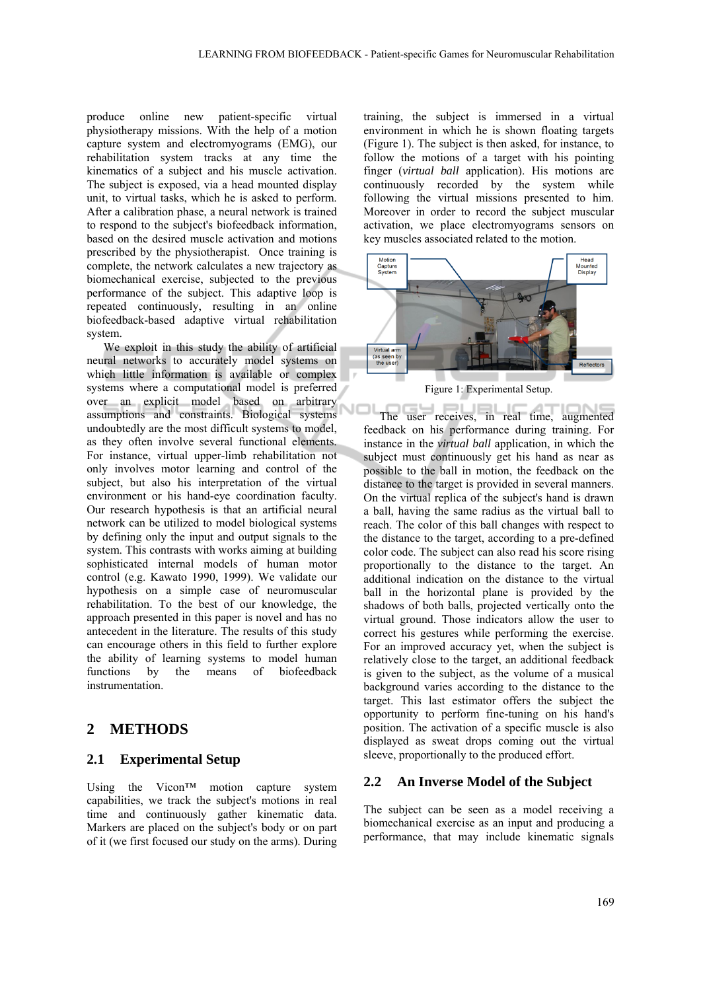produce online new patient-specific virtual physiotherapy missions. With the help of a motion capture system and electromyograms (EMG), our rehabilitation system tracks at any time the kinematics of a subject and his muscle activation. The subject is exposed, via a head mounted display unit, to virtual tasks, which he is asked to perform. After a calibration phase, a neural network is trained to respond to the subject's biofeedback information, based on the desired muscle activation and motions prescribed by the physiotherapist. Once training is complete, the network calculates a new trajectory as biomechanical exercise, subjected to the previous performance of the subject. This adaptive loop is repeated continuously, resulting in an online biofeedback-based adaptive virtual rehabilitation system.

We exploit in this study the ability of artificial neural networks to accurately model systems on which little information is available or complex systems where a computational model is preferred over an explicit model based on arbitrary assumptions and constraints. Biological systems undoubtedly are the most difficult systems to model, as they often involve several functional elements. For instance, virtual upper-limb rehabilitation not only involves motor learning and control of the subject, but also his interpretation of the virtual environment or his hand-eye coordination faculty. Our research hypothesis is that an artificial neural network can be utilized to model biological systems by defining only the input and output signals to the system. This contrasts with works aiming at building sophisticated internal models of human motor control (e.g. Kawato 1990, 1999). We validate our hypothesis on a simple case of neuromuscular rehabilitation. To the best of our knowledge, the approach presented in this paper is novel and has no antecedent in the literature. The results of this study can encourage others in this field to further explore the ability of learning systems to model human functions by the means of biofeedback instrumentation.

## **2 METHODS**

#### **2.1 Experimental Setup**

Using the Vicon™ motion capture system capabilities, we track the subject's motions in real time and continuously gather kinematic data. Markers are placed on the subject's body or on part of it (we first focused our study on the arms). During

training, the subject is immersed in a virtual environment in which he is shown floating targets (Figure 1). The subject is then asked, for instance, to follow the motions of a target with his pointing finger (*virtual ball* application). His motions are continuously recorded by the system while following the virtual missions presented to him. Moreover in order to record the subject muscular activation, we place electromyograms sensors on key muscles associated related to the motion.



Figure 1: Experimental Setup.

The user receives, in real time, augmented feedback on his performance during training. For instance in the *virtual ball* application, in which the subject must continuously get his hand as near as possible to the ball in motion, the feedback on the distance to the target is provided in several manners. On the virtual replica of the subject's hand is drawn a ball, having the same radius as the virtual ball to reach. The color of this ball changes with respect to the distance to the target, according to a pre-defined color code. The subject can also read his score rising proportionally to the distance to the target. An additional indication on the distance to the virtual ball in the horizontal plane is provided by the shadows of both balls, projected vertically onto the virtual ground. Those indicators allow the user to correct his gestures while performing the exercise. For an improved accuracy yet, when the subject is relatively close to the target, an additional feedback is given to the subject, as the volume of a musical background varies according to the distance to the target. This last estimator offers the subject the opportunity to perform fine-tuning on his hand's position. The activation of a specific muscle is also displayed as sweat drops coming out the virtual sleeve, proportionally to the produced effort.

#### **2.2 An Inverse Model of the Subject**

The subject can be seen as a model receiving a biomechanical exercise as an input and producing a performance, that may include kinematic signals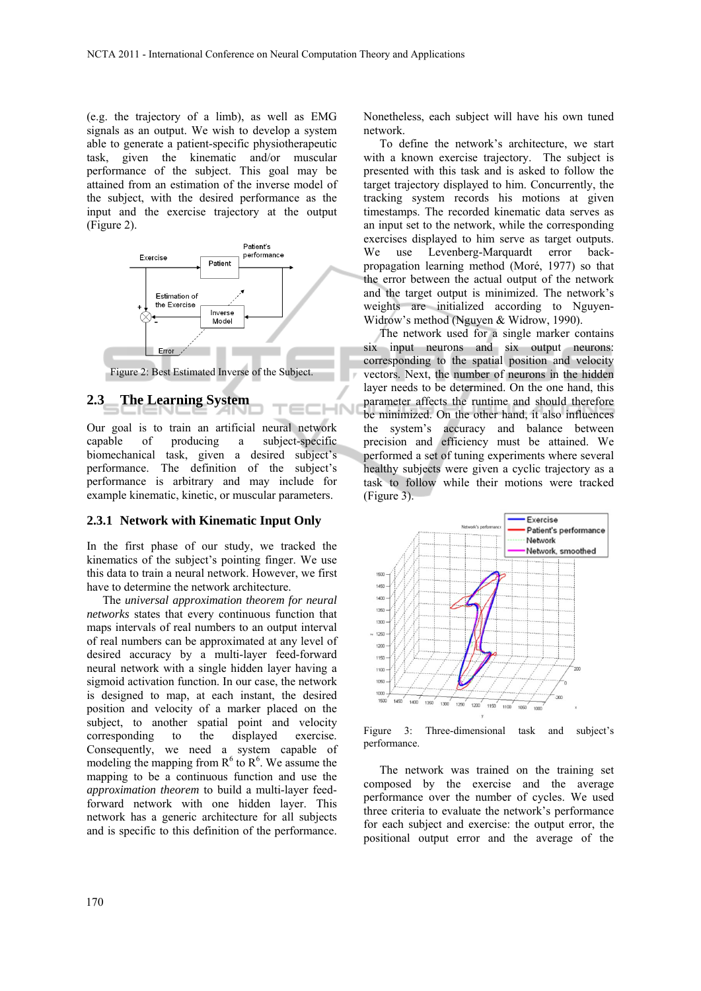(e.g. the trajectory of a limb), as well as EMG signals as an output. We wish to develop a system able to generate a patient-specific physiotherapeutic task, given the kinematic and/or muscular performance of the subject. This goal may be attained from an estimation of the inverse model of the subject, with the desired performance as the input and the exercise trajectory at the output (Figure 2).



Figure 2: Best Estimated Inverse of the Subject.

HN

### **2.3 The Learning System**

Our goal is to train an artificial neural network capable of producing a subject-specific biomechanical task, given a desired subject's performance. The definition of the subject's performance is arbitrary and may include for example kinematic, kinetic, or muscular parameters.

#### **2.3.1 Network with Kinematic Input Only**

In the first phase of our study, we tracked the kinematics of the subject's pointing finger. We use this data to train a neural network. However, we first have to determine the network architecture.

The *universal approximation theorem for neural networks* states that every continuous function that maps intervals of real numbers to an output interval of real numbers can be approximated at any level of desired accuracy by a multi-layer feed-forward neural network with a single hidden layer having a sigmoid activation function. In our case, the network is designed to map, at each instant, the desired position and velocity of a marker placed on the subject, to another spatial point and velocity corresponding to the displayed exercise. Consequently, we need a system capable of modeling the mapping from  $R^6$  to  $R^6$ . We assume the mapping to be a continuous function and use the *approximation theorem* to build a multi-layer feedforward network with one hidden layer. This network has a generic architecture for all subjects and is specific to this definition of the performance. Nonetheless, each subject will have his own tuned network.

To define the network's architecture, we start with a known exercise trajectory. The subject is presented with this task and is asked to follow the target trajectory displayed to him. Concurrently, the tracking system records his motions at given timestamps. The recorded kinematic data serves as an input set to the network, while the corresponding exercises displayed to him serve as target outputs. We use Levenberg-Marquardt error backpropagation learning method (Moré, 1977) so that the error between the actual output of the network and the target output is minimized. The network's weights are initialized according to Nguyen-Widrow's method (Nguyen & Widrow, 1990).

The network used for a single marker contains six input neurons and six output neurons: corresponding to the spatial position and velocity vectors. Next, the number of neurons in the hidden layer needs to be determined. On the one hand, this parameter affects the runtime and should therefore be minimized. On the other hand, it also influences the system's accuracy and balance between precision and efficiency must be attained. We performed a set of tuning experiments where several healthy subjects were given a cyclic trajectory as a task to follow while their motions were tracked (Figure 3).



Figure 3: Three-dimensional task and subject's performance.

The network was trained on the training set composed by the exercise and the average performance over the number of cycles. We used three criteria to evaluate the network's performance for each subject and exercise: the output error, the positional output error and the average of the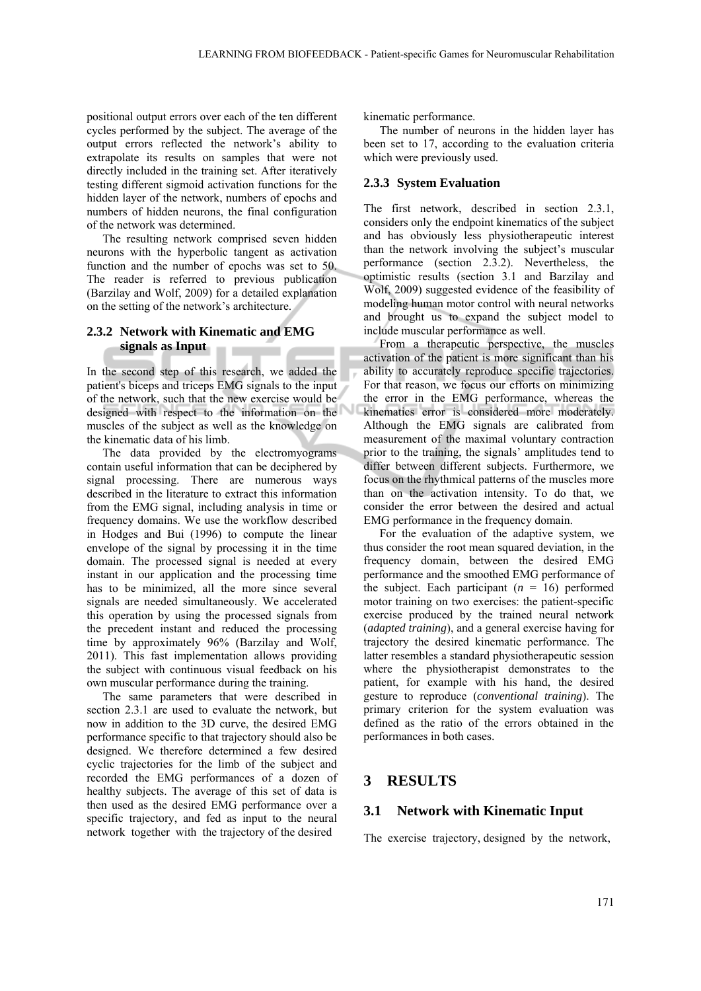positional output errors over each of the ten different cycles performed by the subject. The average of the output errors reflected the network's ability to extrapolate its results on samples that were not directly included in the training set. After iteratively testing different sigmoid activation functions for the hidden layer of the network, numbers of epochs and numbers of hidden neurons, the final configuration of the network was determined.

The resulting network comprised seven hidden neurons with the hyperbolic tangent as activation function and the number of epochs was set to 50. The reader is referred to previous publication (Barzilay and Wolf, 2009) for a detailed explanation on the setting of the network's architecture.

#### **2.3.2 Network with Kinematic and EMG signals as Input**

In the second step of this research, we added the patient's biceps and triceps EMG signals to the input of the network, such that the new exercise would be designed with respect to the information on the muscles of the subject as well as the knowledge on the kinematic data of his limb.

The data provided by the electromyograms contain useful information that can be deciphered by signal processing. There are numerous ways described in the literature to extract this information from the EMG signal, including analysis in time or frequency domains. We use the workflow described in Hodges and Bui (1996) to compute the linear envelope of the signal by processing it in the time domain. The processed signal is needed at every instant in our application and the processing time has to be minimized, all the more since several signals are needed simultaneously. We accelerated this operation by using the processed signals from the precedent instant and reduced the processing time by approximately 96% (Barzilay and Wolf, 2011). This fast implementation allows providing the subject with continuous visual feedback on his own muscular performance during the training.

The same parameters that were described in section 2.3.1 are used to evaluate the network, but now in addition to the 3D curve, the desired EMG performance specific to that trajectory should also be designed. We therefore determined a few desired cyclic trajectories for the limb of the subject and recorded the EMG performances of a dozen of healthy subjects. The average of this set of data is then used as the desired EMG performance over a specific trajectory, and fed as input to the neural network together with the trajectory of the desired

kinematic performance.

The number of neurons in the hidden layer has been set to 17, according to the evaluation criteria which were previously used.

#### **2.3.3 System Evaluation**

The first network, described in section 2.3.1, considers only the endpoint kinematics of the subject and has obviously less physiotherapeutic interest than the network involving the subject's muscular performance (section 2.3.2). Nevertheless, the optimistic results (section 3.1 and Barzilay and Wolf, 2009) suggested evidence of the feasibility of modeling human motor control with neural networks and brought us to expand the subject model to include muscular performance as well.

From a therapeutic perspective, the muscles activation of the patient is more significant than his ability to accurately reproduce specific trajectories. For that reason, we focus our efforts on minimizing the error in the EMG performance, whereas the kinematics error is considered more moderately. Although the EMG signals are calibrated from measurement of the maximal voluntary contraction prior to the training, the signals' amplitudes tend to differ between different subjects. Furthermore, we focus on the rhythmical patterns of the muscles more than on the activation intensity. To do that, we consider the error between the desired and actual EMG performance in the frequency domain.

For the evaluation of the adaptive system, we thus consider the root mean squared deviation, in the frequency domain, between the desired EMG performance and the smoothed EMG performance of the subject. Each participant  $(n = 16)$  performed motor training on two exercises: the patient-specific exercise produced by the trained neural network (*adapted training*), and a general exercise having for trajectory the desired kinematic performance. The latter resembles a standard physiotherapeutic session where the physiotherapist demonstrates to the patient, for example with his hand, the desired gesture to reproduce (*conventional training*). The primary criterion for the system evaluation was defined as the ratio of the errors obtained in the performances in both cases.

# **3 RESULTS**

#### **3.1 Network with Kinematic Input**

The exercise trajectory, designed by the network,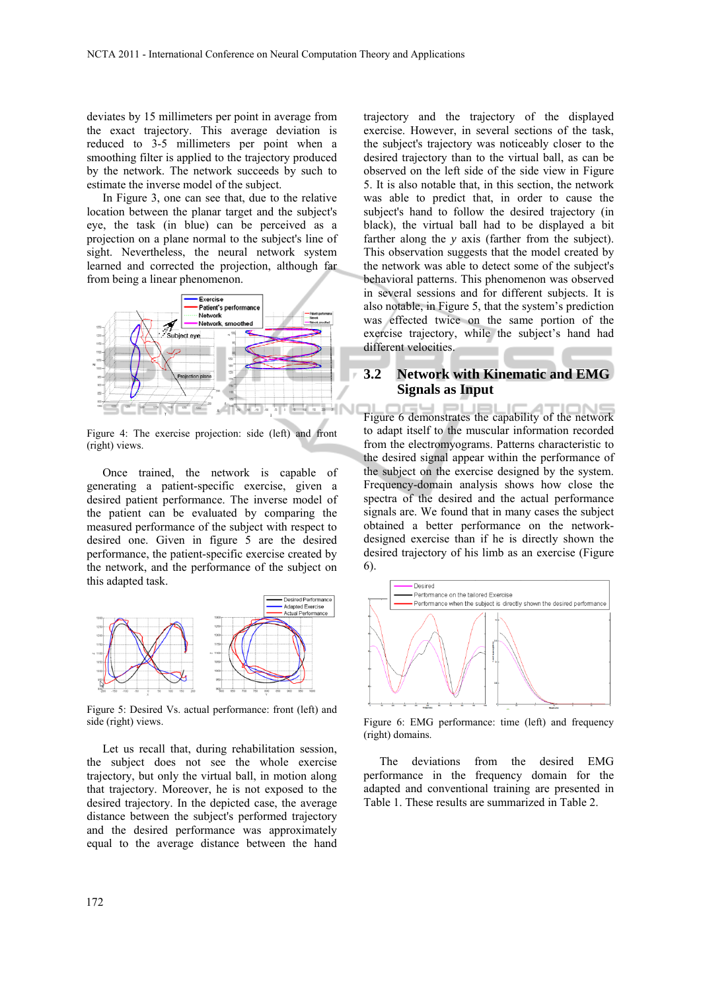deviates by 15 millimeters per point in average from the exact trajectory. This average deviation is reduced to 3-5 millimeters per point when a smoothing filter is applied to the trajectory produced by the network. The network succeeds by such to estimate the inverse model of the subject.

In Figure 3, one can see that, due to the relative location between the planar target and the subject's eye, the task (in blue) can be perceived as a projection on a plane normal to the subject's line of sight. Nevertheless, the neural network system learned and corrected the projection, although far from being a linear phenomenon.



Figure 4: The exercise projection: side (left) and front (right) views.

Once trained, the network is capable of generating a patient-specific exercise, given a desired patient performance. The inverse model of the patient can be evaluated by comparing the measured performance of the subject with respect to desired one. Given in figure 5 are the desired performance, the patient-specific exercise created by the network, and the performance of the subject on this adapted task.



Figure 5: Desired Vs. actual performance: front (left) and side (right) views.

Let us recall that, during rehabilitation session, the subject does not see the whole exercise trajectory, but only the virtual ball, in motion along that trajectory. Moreover, he is not exposed to the desired trajectory. In the depicted case, the average distance between the subject's performed trajectory and the desired performance was approximately equal to the average distance between the hand

trajectory and the trajectory of the displayed exercise. However, in several sections of the task, the subject's trajectory was noticeably closer to the desired trajectory than to the virtual ball, as can be observed on the left side of the side view in Figure 5. It is also notable that, in this section, the network was able to predict that, in order to cause the subject's hand to follow the desired trajectory (in black), the virtual ball had to be displayed a bit farther along the *y* axis (farther from the subject). This observation suggests that the model created by the network was able to detect some of the subject's behavioral patterns. This phenomenon was observed in several sessions and for different subjects. It is also notable, in Figure 5, that the system's prediction was effected twice on the same portion of the exercise trajectory, while the subject's hand had different velocities.

## **3.2 Network with Kinematic and EMG Signals as Input**

Figure 6 demonstrates the capability of the network to adapt itself to the muscular information recorded from the electromyograms. Patterns characteristic to the desired signal appear within the performance of the subject on the exercise designed by the system. Frequency-domain analysis shows how close the spectra of the desired and the actual performance signals are. We found that in many cases the subject obtained a better performance on the networkdesigned exercise than if he is directly shown the desired trajectory of his limb as an exercise (Figure 6).



Figure 6: EMG performance: time (left) and frequency (right) domains.

The deviations from the desired EMG performance in the frequency domain for the adapted and conventional training are presented in Table 1. These results are summarized in Table 2.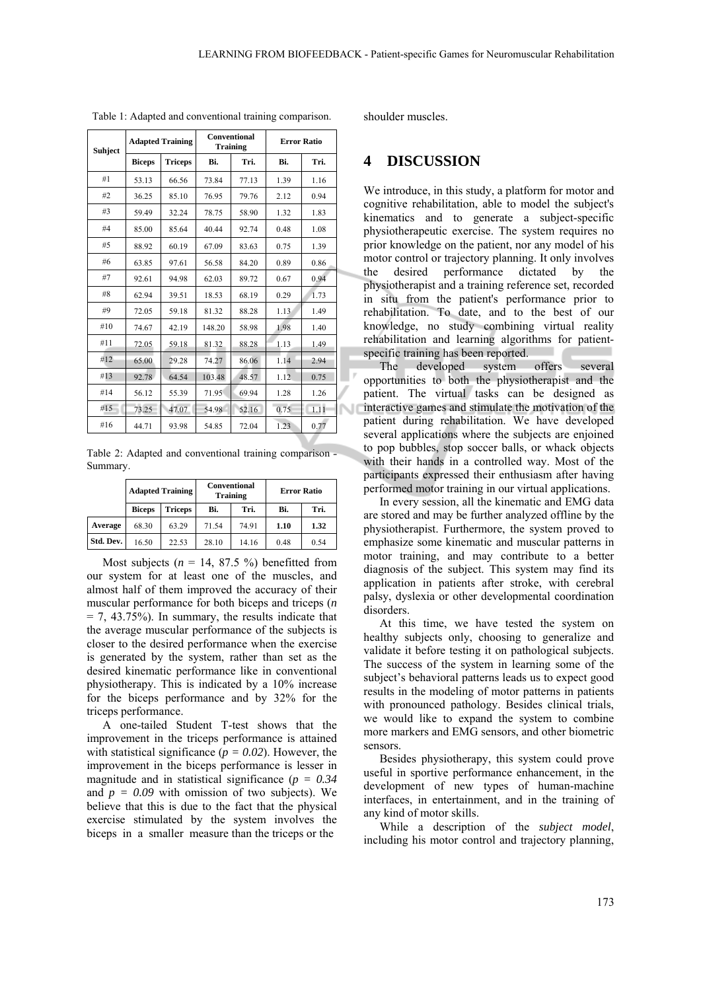| <b>Suhject</b> | <b>Adapted Training</b> |                | Conventional<br><b>Training</b> |       | <b>Error Ratio</b> |      |  |
|----------------|-------------------------|----------------|---------------------------------|-------|--------------------|------|--|
|                | <b>Biceps</b>           | <b>Triceps</b> | Bi.                             | Tri.  | Bi.                | Tri. |  |
| #1             | 53.13                   | 66.56          | 73.84                           | 77.13 | 1.39               | 1.16 |  |
| #2             | 36.25                   | 85.10          | 76.95                           | 79.76 | 2.12               | 0.94 |  |
| #3             | 59.49                   | 32.24          | 78.75                           | 58.90 | 1.32               | 1.83 |  |
| #4             | 85.00                   | 85.64          | 40.44                           | 92.74 | 0.48               | 1.08 |  |
| #5             | 88.92                   | 60.19          | 67.09                           | 83.63 | 0.75               | 1.39 |  |
| #6             | 63.85                   | 97.61          | 56.58                           | 84.20 | 0.89               | 0.86 |  |
| #7             | 92.61                   | 94.98          | 62.03                           | 89.72 | 0.67               | 0.94 |  |
| #8             | 62.94                   | 39.51          | 18.53                           | 68.19 | 0.29               | 1.73 |  |
| #9             | 72.05                   | 59.18          | 81.32                           | 88.28 | 1.13               | 1.49 |  |
| #10            | 74.67                   | 42.19          | 148.20                          | 58.98 | 1.98               | 1.40 |  |
| #11            | 72.05                   | 59.18          | 81.32                           | 88.28 | 1.13               | 1.49 |  |
| #12            | 65.00                   | 29.28          | 74.27                           | 86.06 | 1.14               | 2.94 |  |
| #13            | 92.78                   | 64.54          | 103.48                          | 48.57 | 1.12               | 0.75 |  |
| #14            | 56.12                   | 55.39          | 71.95                           | 69.94 | 1.28               | 1.26 |  |
| #15            | 73.25                   | 47.07          | 54.98                           | 52.16 | 0.75               | 1.11 |  |
| #16            | 44.71                   | 93.98          | 54.85                           | 72.04 | 1.23               | 0.77 |  |

Table 1: Adapted and conventional training comparison.

Table 2: Adapted and conventional training comparison -Summary.

|           | <b>Adapted Training</b> |         |       | <b>Conventional</b><br><b>Training</b> | <b>Error Ratio</b> |      |  |
|-----------|-------------------------|---------|-------|----------------------------------------|--------------------|------|--|
|           | <b>Biceps</b>           | Triceps | Bi.   | Tri.                                   | Bi.                | Tri. |  |
| Average   | 68.30                   | 63.29   | 71.54 | 74.91                                  | 1.10               | 1.32 |  |
| Std. Dev. | 16.50                   | 22.53   | 28.10 | 14.16                                  | 0.48               | 0.54 |  |

Most subjects  $(n = 14, 87.5%)$  benefitted from our system for at least one of the muscles, and almost half of them improved the accuracy of their muscular performance for both biceps and triceps (*n*  $= 7, 43.75\%$ ). In summary, the results indicate that the average muscular performance of the subjects is closer to the desired performance when the exercise is generated by the system, rather than set as the desired kinematic performance like in conventional physiotherapy. This is indicated by a 10% increase for the biceps performance and by 32% for the triceps performance.

A one-tailed Student T-test shows that the improvement in the triceps performance is attained with statistical significance ( $p = 0.02$ ). However, the improvement in the biceps performance is lesser in magnitude and in statistical significance (*p = 0.34* and  $p = 0.09$  with omission of two subjects). We believe that this is due to the fact that the physical exercise stimulated by the system involves the biceps in a smaller measure than the triceps or the

shoulder muscles.

# **4 DISCUSSION**

We introduce, in this study, a platform for motor and cognitive rehabilitation, able to model the subject's kinematics and to generate a subject-specific physiotherapeutic exercise. The system requires no prior knowledge on the patient, nor any model of his motor control or trajectory planning. It only involves the desired performance dictated by the physiotherapist and a training reference set, recorded in situ from the patient's performance prior to rehabilitation. To date, and to the best of our knowledge, no study combining virtual reality rehabilitation and learning algorithms for patientspecific training has been reported.

The developed system offers several opportunities to both the physiotherapist and the patient. The virtual tasks can be designed as interactive games and stimulate the motivation of the patient during rehabilitation. We have developed several applications where the subjects are enjoined to pop bubbles, stop soccer balls, or whack objects with their hands in a controlled way. Most of the participants expressed their enthusiasm after having performed motor training in our virtual applications.

In every session, all the kinematic and EMG data are stored and may be further analyzed offline by the physiotherapist. Furthermore, the system proved to emphasize some kinematic and muscular patterns in motor training, and may contribute to a better diagnosis of the subject. This system may find its application in patients after stroke, with cerebral palsy, dyslexia or other developmental coordination disorders.

At this time, we have tested the system on healthy subjects only, choosing to generalize and validate it before testing it on pathological subjects. The success of the system in learning some of the subject's behavioral patterns leads us to expect good results in the modeling of motor patterns in patients with pronounced pathology. Besides clinical trials, we would like to expand the system to combine more markers and EMG sensors, and other biometric sensors.

Besides physiotherapy, this system could prove useful in sportive performance enhancement, in the development of new types of human-machine interfaces, in entertainment, and in the training of any kind of motor skills.

While a description of the *subject model*, including his motor control and trajectory planning,